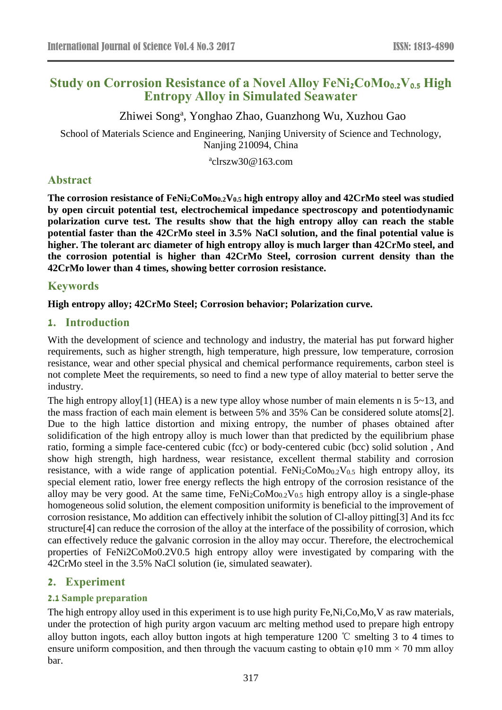# **Study on Corrosion Resistance of a Novel Alloy FeNi2CoMo0.2V0.5 High Entropy Alloy in Simulated Seawater**

Zhiwei Song<sup>a</sup>, Yonghao Zhao, Guanzhong Wu, Xuzhou Gao

School of Materials Science and Engineering, Nanjing University of Science and Technology, Nanjing 210094, China

a clrszw30@163.com

## **Abstract**

**The corrosion resistance of FeNi2CoMo0.2V0.5 high entropy alloy and 42CrMo steel was studied by open circuit potential test, electrochemical impedance spectroscopy and potentiodynamic polarization curve test. The results show that the high entropy alloy can reach the stable potential faster than the 42CrMo steel in 3.5% NaCl solution, and the final potential value is higher. The tolerant arc diameter of high entropy alloy is much larger than 42CrMo steel, and the corrosion potential is higher than 42CrMo Steel, corrosion current density than the 42CrMo lower than 4 times, showing better corrosion resistance.**

### **Keywords**

#### **High entropy alloy; 42CrMo Steel; Corrosion behavior; Polarization curve.**

### **1. Introduction**

With the development of science and technology and industry, the material has put forward higher requirements, such as higher strength, high temperature, high pressure, low temperature, corrosion resistance, wear and other special physical and chemical performance requirements, carbon steel is not complete Meet the requirements, so need to find a new type of alloy material to better serve the industry.

The high entropy alloy[1] (HEA) is a new type alloy whose number of main elements n is  $5\nu$ 13, and the mass fraction of each main element is between 5% and 35% Can be considered solute atoms[2]. Due to the high lattice distortion and mixing entropy, the number of phases obtained after solidification of the high entropy alloy is much lower than that predicted by the equilibrium phase ratio, forming a simple face-centered cubic (fcc) or body-centered cubic (bcc) solid solution , And show high strength, high hardness, wear resistance, excellent thermal stability and corrosion resistance, with a wide range of application potential.  $FeNi<sub>2</sub>CoMo<sub>0.2</sub>V<sub>0.5</sub>$  high entropy alloy, its special element ratio, lower free energy reflects the high entropy of the corrosion resistance of the alloy may be very good. At the same time,  $FeNi<sub>2</sub>CoMo<sub>0.2</sub>V<sub>0.5</sub>$  high entropy alloy is a single-phase homogeneous solid solution, the element composition uniformity is beneficial to the improvement of corrosion resistance, Mo addition can effectively inhibit the solution of Cl-alloy pitting[3] And its fcc structure[4] can reduce the corrosion of the alloy at the interface of the possibility of corrosion, which can effectively reduce the galvanic corrosion in the alloy may occur. Therefore, the electrochemical properties of FeNi2CoMo0.2V0.5 high entropy alloy were investigated by comparing with the 42CrMo steel in the 3.5% NaCl solution (ie, simulated seawater).

### **2. Experiment**

### **2.1 Sample preparation**

The high entropy alloy used in this experiment is to use high purity Fe,Ni,Co,Mo,V as raw materials, under the protection of high purity argon vacuum arc melting method used to prepare high entropy alloy button ingots, each alloy button ingots at high temperature 1200 ℃ smelting 3 to 4 times to ensure uniform composition, and then through the vacuum casting to obtain  $\varphi$ 10 mm  $\times$  70 mm alloy bar.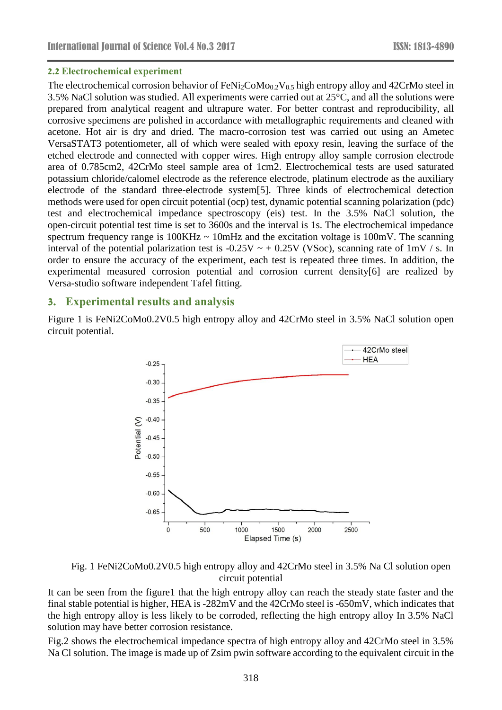#### **2.2 Electrochemical experiment**

The electrochemical corrosion behavior of FeNi<sub>2</sub>CoMo<sub>0.2</sub>V<sub>0.5</sub> high entropy alloy and 42CrMo steel in 3.5% NaCl solution was studied. All experiments were carried out at 25°C, and all the solutions were prepared from analytical reagent and ultrapure water. For better contrast and reproducibility, all corrosive specimens are polished in accordance with metallographic requirements and cleaned with acetone. Hot air is dry and dried. The macro-corrosion test was carried out using an Ametec VersaSTAT3 potentiometer, all of which were sealed with epoxy resin, leaving the surface of the etched electrode and connected with copper wires. High entropy alloy sample corrosion electrode area of 0.785cm2, 42CrMo steel sample area of 1cm2. Electrochemical tests are used saturated potassium chloride/calomel electrode as the reference electrode, platinum electrode as the auxiliary electrode of the standard three-electrode system[5]. Three kinds of electrochemical detection methods were used for open circuit potential (ocp) test, dynamic potential scanning polarization (pdc) test and electrochemical impedance spectroscopy (eis) test. In the 3.5% NaCl solution, the open-circuit potential test time is set to 3600s and the interval is 1s. The electrochemical impedance spectrum frequency range is  $100KHz \sim 10mHz$  and the excitation voltage is  $100mV$ . The scanning interval of the potential polarization test is  $-0.25V \sim +0.25V$  (VSoc), scanning rate of 1mV / s. In order to ensure the accuracy of the experiment, each test is repeated three times. In addition, the experimental measured corrosion potential and corrosion current density[6] are realized by Versa-studio software independent Tafel fitting.

### **3. Experimental results and analysis**

Figure 1 is FeNi2CoMo0.2V0.5 high entropy alloy and 42CrMo steel in 3.5% NaCl solution open circuit potential.



Fig. 1 FeNi2CoMo0.2V0.5 high entropy alloy and 42CrMo steel in 3.5% Na Cl solution open circuit potential

It can be seen from the figure1 that the high entropy alloy can reach the steady state faster and the final stable potential is higher, HEA is -282mV and the 42CrMo steel is -650mV, which indicates that the high entropy alloy is less likely to be corroded, reflecting the high entropy alloy In 3.5% NaCl solution may have better corrosion resistance.

Fig.2 shows the electrochemical impedance spectra of high entropy alloy and 42CrMo steel in 3.5% Na Cl solution. The image is made up of Zsim pwin software according to the equivalent circuit in the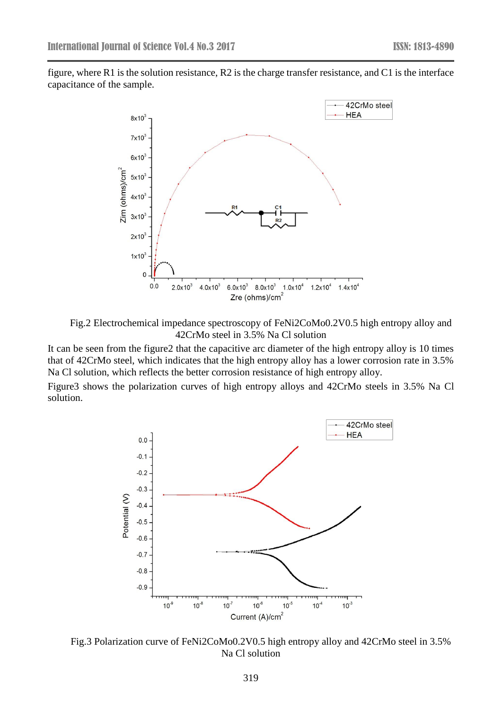figure, where R1 is the solution resistance, R2 is the charge transfer resistance, and C1 is the interface capacitance of the sample.



Fig.2 Electrochemical impedance spectroscopy of FeNi2CoMo0.2V0.5 high entropy alloy and 42CrMo steel in 3.5% Na Cl solution

It can be seen from the figure2 that the capacitive arc diameter of the high entropy alloy is 10 times that of 42CrMo steel, which indicates that the high entropy alloy has a lower corrosion rate in 3.5% Na Cl solution, which reflects the better corrosion resistance of high entropy alloy.

Figure3 shows the polarization curves of high entropy alloys and 42CrMo steels in 3.5% Na Cl solution.



Fig.3 Polarization curve of FeNi2CoMo0.2V0.5 high entropy alloy and 42CrMo steel in 3.5% Na Cl solution